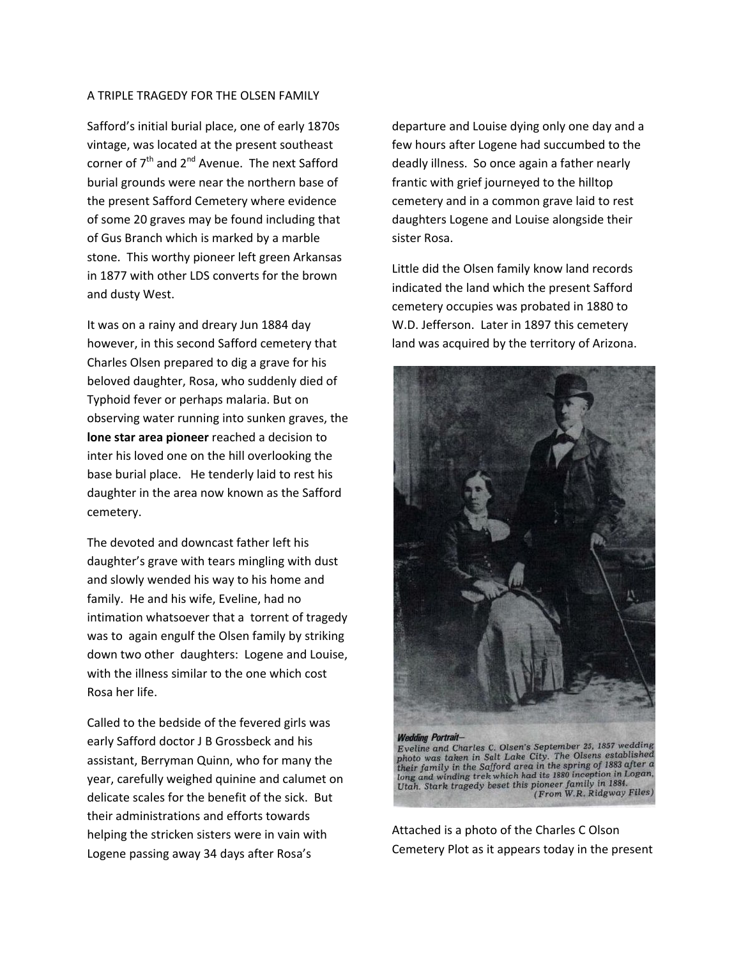## A TRIPLE TRAGEDY FOR THE OLSEN FAMILY

Safford's initial burial place, one of early 1870s vintage, was located at the present southeast corner of  $7<sup>th</sup>$  and  $2<sup>nd</sup>$  Avenue. The next Safford burial grounds were near the northern base of the present Safford Cemetery where evidence of some 20 graves may be found including that of Gus Branch which is marked by a marble stone. This worthy pioneer left green Arkansas in 1877 with other LDS converts for the brown and dusty West.

It was on a rainy and dreary Jun 1884 day however, in this second Safford cemetery that Charles Olsen prepared to dig a grave for his beloved daughter, Rosa, who suddenly died of Typhoid fever or perhaps malaria. But on observing water running into sunken graves, the **lone star area pioneer** reached a decision to inter his loved one on the hill overlooking the base burial place. He tenderly laid to rest his daughter in the area now known as the Safford cemetery.

The devoted and downcast father left his daughter's grave with tears mingling with dust and slowly wended his way to his home and family. He and his wife, Eveline, had no intimation whatsoever that a torrent of tragedy was to again engulf the Olsen family by striking down two other daughters: Logene and Louise, with the illness similar to the one which cost Rosa her life.

Called to the bedside of the fevered girls was early Safford doctor J B Grossbeck and his assistant, Berryman Quinn, who for many the year, carefully weighed quinine and calumet on delicate scales for the benefit of the sick. But their administrations and efforts towards helping the stricken sisters were in vain with Logene passing away 34 days after Rosa's

departure and Louise dying only one day and a few hours after Logene had succumbed to the deadly illness. So once again a father nearly frantic with grief journeyed to the hilltop cemetery and in a common grave laid to rest daughters Logene and Louise alongside their sister Rosa.

Little did the Olsen family know land records indicated the land which the present Safford cemetery occupies was probated in 1880 to W.D. Jefferson. Later in 1897 this cemetery land was acquired by the territory of Arizona.



Attached is a photo of the Charles C Olson Cemetery Plot as it appears today in the present